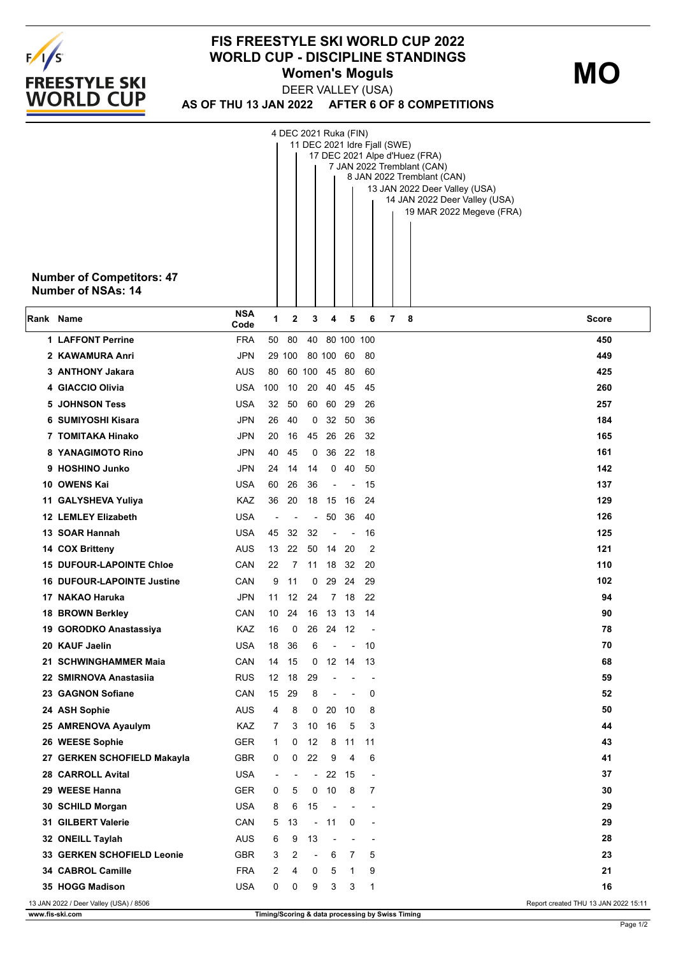

## **FIS FREESTYLE SKI WORLD CUP 2022 WORLD CUP - DISCIPLINE STANDINGS Women's Moguls MO**

**AS OF THU 13 JAN 2022 AFTER 6 OF 8 COMPETITIONS** DEER VALLEY (USA)

|           | <b>Number of Competitors: 47</b><br>Number of NSAs: 14 |                    |                          |          | 4 DEC 2021 Ruka (FIN)    |                          |                          |                          | 11 DEC 2021 Idre Fjall (SWE)<br>17 DEC 2021 Alpe d'Huez (FRA)<br>7 JAN 2022 Tremblant (CAN)<br>8 JAN 2022 Tremblant (CAN)<br>13 JAN 2022 Deer Valley (USA)<br>14 JAN 2022 Deer Valley (USA)<br>19 MAR 2022 Megeve (FRA) |
|-----------|--------------------------------------------------------|--------------------|--------------------------|----------|--------------------------|--------------------------|--------------------------|--------------------------|-------------------------------------------------------------------------------------------------------------------------------------------------------------------------------------------------------------------------|
| Rank Name |                                                        | <b>NSA</b><br>Code | 1                        | 2        | 3                        | 4                        | 5                        | 6                        | 7<br>- 8<br>Score                                                                                                                                                                                                       |
|           | <b>1 LAFFONT Perrine</b>                               | <b>FRA</b>         |                          | 50 80    |                          | 40 80 100 100            |                          |                          | 450                                                                                                                                                                                                                     |
|           | 2 KAWAMURA Anri                                        | <b>JPN</b>         |                          | 29 100   |                          | 80 100 60                |                          | -80                      | 449                                                                                                                                                                                                                     |
|           | 3 ANTHONY Jakara                                       | AUS                | 80                       |          | 60 100 45 80             |                          |                          | 60                       | 425                                                                                                                                                                                                                     |
|           | 4 GIACCIO Olivia                                       | <b>USA</b>         | 100                      | 10       | 20                       | 40                       | 45                       | 45                       | 260                                                                                                                                                                                                                     |
|           | <b>5 JOHNSON Tess</b>                                  | USA                | 32                       | 50       |                          | 60 60                    | 29                       | 26                       | 257                                                                                                                                                                                                                     |
|           | 6 SUMIYOSHI Kisara                                     | <b>JPN</b>         | 26                       | 40       | 0                        |                          | 32 50                    | 36                       | 184                                                                                                                                                                                                                     |
|           | 7 TOMITAKA Hinako                                      | <b>JPN</b>         | 20                       | 16       | 45                       | 26                       | 26                       | 32                       | 165                                                                                                                                                                                                                     |
|           | 8 YANAGIMOTO Rino                                      | <b>JPN</b>         | 40                       | 45       | 0                        | 36                       | 22                       | 18                       | 161                                                                                                                                                                                                                     |
|           | 9 HOSHINO Junko                                        | <b>JPN</b>         | 24                       | 14       | 14                       |                          | $0\quad 40$              | -50                      | 142                                                                                                                                                                                                                     |
|           | 10 OWENS Kai                                           | USA                | 60                       | 26       | 36                       | $\overline{\phantom{a}}$ | $\sim$                   | 15                       | 137                                                                                                                                                                                                                     |
|           | 11 GALYSHEVA Yuliya                                    | KAZ                | 36                       | 20       | 18                       | 15 16                    |                          | 24                       | 129                                                                                                                                                                                                                     |
|           | <b>12 LEMLEY Elizabeth</b>                             | USA                | $\overline{a}$           |          | $\overline{\phantom{a}}$ | 50                       | 36                       | 40                       | 126                                                                                                                                                                                                                     |
|           | 13 SOAR Hannah                                         | USA                | 45                       | 32       | 32                       | $\overline{\phantom{a}}$ | $\overline{\phantom{a}}$ | 16                       | 125                                                                                                                                                                                                                     |
|           | 14 COX Britteny                                        | AUS<br>CAN         | 13                       | 22       |                          | 50 14 20                 |                          | 2                        | 121                                                                                                                                                                                                                     |
|           | <b>15 DUFOUR-LAPOINTE Chloe</b>                        |                    | 22                       | 7        | 11                       | 18                       | 32                       | 20                       | 110                                                                                                                                                                                                                     |
|           | <b>16 DUFOUR-LAPOINTE Justine</b><br>17 NAKAO Haruka   | CAN<br><b>JPN</b>  | 9<br>11                  | 11<br>12 | 0<br>24                  | 29<br>$7^{\circ}$        | 24<br>18                 | 29<br>22                 | 102<br>94                                                                                                                                                                                                               |
|           | 18 BROWN Berkley                                       | CAN                | 10                       | 24       | 16                       | 13                       | 13                       | 14                       | 90                                                                                                                                                                                                                      |
|           | 19 GORODKO Anastassiya                                 | KAZ                | 16                       | 0        | 26                       | 24 12                    |                          |                          | 78                                                                                                                                                                                                                      |
|           | 20 KAUF Jaelin                                         | <b>USA</b>         | 18                       | 36       | 6                        | $\overline{\phantom{a}}$ | $\overline{\phantom{a}}$ | 10                       | 70                                                                                                                                                                                                                      |
|           | 21 SCHWINGHAMMER Maia                                  | CAN                | 14                       | 15       | 0                        | 12                       | 14                       | 13                       | 68                                                                                                                                                                                                                      |
|           | 22 SMIRNOVA Anastasiia                                 | <b>RUS</b>         | 12                       | 18       | 29                       | L,                       |                          |                          | 59                                                                                                                                                                                                                      |
|           | 23 GAGNON Sofiane                                      | CAN                | 15                       | 29       | 8                        | $\overline{\phantom{a}}$ | $\overline{\phantom{a}}$ | 0                        | 52                                                                                                                                                                                                                      |
|           | 24 ASH Sophie                                          | <b>AUS</b>         | 4                        | 8        | 0                        | 20                       | 10                       | 8                        | 50                                                                                                                                                                                                                      |
|           | 25 AMRENOVA Ayaulym                                    | KAZ                | $\overline{7}$           | 3        |                          | 10 16                    | 5                        | 3                        | 44                                                                                                                                                                                                                      |
|           | 26 WEESE Sophie                                        | GER                | 1                        | 0        | 12                       | 8                        | 11                       | 11                       | 43                                                                                                                                                                                                                      |
|           | 27 GERKEN SCHOFIELD Makayla                            | <b>GBR</b>         | 0                        | 0        | 22                       | 9                        | $\overline{4}$           | 6                        | 41                                                                                                                                                                                                                      |
|           | 28 CARROLL Avital                                      | <b>USA</b>         | $\overline{\phantom{a}}$ |          | $\overline{\phantom{a}}$ |                          | 22 15                    | $\overline{\phantom{a}}$ | 37                                                                                                                                                                                                                      |
|           | 29 WEESE Hanna                                         | <b>GER</b>         | 0                        | 5        | 0                        | 10                       | 8                        | 7                        | 30                                                                                                                                                                                                                      |
|           | 30 SCHILD Morgan                                       | <b>USA</b>         | 8                        | 6        | 15                       | ÷,                       |                          |                          | 29                                                                                                                                                                                                                      |
|           | 31 GILBERT Valerie                                     | CAN                | 5                        | 13       |                          | $-11$                    | 0                        | $\blacksquare$           | 29                                                                                                                                                                                                                      |
|           | 32 ONEILL Taylah                                       | <b>AUS</b>         | 6                        | 9        | 13                       | $\overline{\phantom{a}}$ | $\blacksquare$           |                          | 28                                                                                                                                                                                                                      |
|           | 33 GERKEN SCHOFIELD Leonie                             | <b>GBR</b>         | 3                        | 2        | $\overline{\phantom{a}}$ | 6                        | 7                        | 5                        | 23                                                                                                                                                                                                                      |
|           | 34 CABROL Camille                                      | <b>FRA</b>         | 2                        | 4        | 0                        | 5                        | $\mathbf 1$              | 9                        | 21                                                                                                                                                                                                                      |
|           | 35 HOGG Madison                                        | <b>USA</b>         | 0                        | 0        | 9                        | 3                        | 3                        | 1                        | 16                                                                                                                                                                                                                      |
|           | 13 JAN 2022 / Deer Valley (USA) / 8506                 |                    |                          |          |                          |                          |                          |                          | Report created THU 13 JAN 2022 15:11                                                                                                                                                                                    |